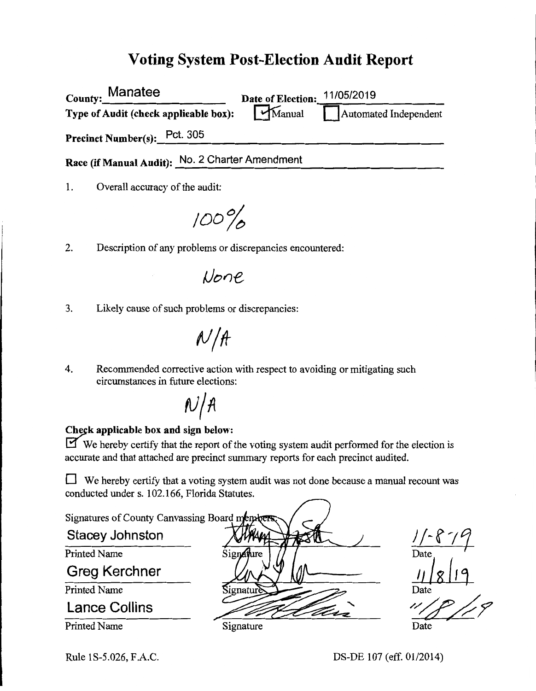## **Voting System Post-Election Audit Report**

| County: Manatee                                 | <b>Date of Election:</b> | 11/05/2019            |
|-------------------------------------------------|--------------------------|-----------------------|
| Type of Audit (check applicable box):           | Manual                   | Automated Independent |
| Precinct Number(s): Pct. 305                    |                          |                       |
| Race (if Manual Audit): No. 2 Charter Amendment |                          |                       |
|                                                 |                          |                       |

1. Overall accuracy of the audit:

*100%* 

2. Description of any problems or discrepancies encountered:

/)one

3. Likely cause of such problems or discrepancies:

 $A/\sqrt{A}$ 

4. Recommended corrective action with respect to avoiding or mitigating such circumstances in future elections:

 $N/A$ 

#### Check applicable box and sign below:

We hereby certify that the report of the voting system audit performed for the election is accurate and that attached are precinct summary reports for each precinct audited.

 $\Box$  We hereby certify that a voting system audit was not done because a manual recount was conducted under s. 102.166, Florida Statutes.



DS-DE 107 (eff. 01/2014)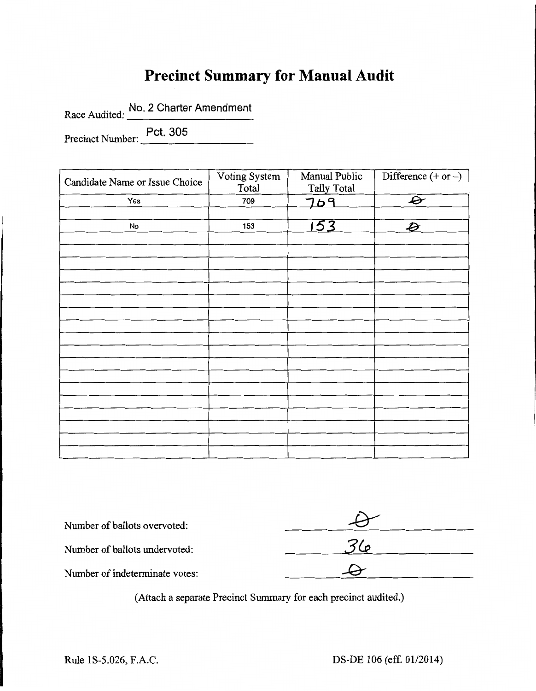# **Precinct Summary for Manual Audit**

Race Audited: No. 2 Charter Amendment

Precinct Number: Pct. 305

| Candidate Name or Issue Choice | Voting System<br>Total | Manual Public<br><b>Tally Total</b> | Difference $(+ or -)$    |
|--------------------------------|------------------------|-------------------------------------|--------------------------|
| Yes                            | 709                    | 709                                 | $\boldsymbol{\varTheta}$ |
|                                |                        |                                     |                          |
| No                             | 153                    | 153                                 | Ð                        |
|                                |                        |                                     |                          |
|                                |                        |                                     |                          |
|                                |                        |                                     |                          |
|                                |                        |                                     |                          |
|                                |                        |                                     |                          |
|                                |                        |                                     |                          |
|                                |                        |                                     |                          |
|                                |                        |                                     |                          |
|                                |                        |                                     |                          |
|                                |                        |                                     |                          |
|                                |                        |                                     |                          |
|                                |                        |                                     |                          |
|                                |                        |                                     |                          |
|                                |                        |                                     |                          |
|                                |                        |                                     |                          |
|                                |                        |                                     |                          |
|                                |                        |                                     |                          |
|                                |                        |                                     |                          |

| Number of ballots overvoted:   |  |
|--------------------------------|--|
| Number of ballots undervoted:  |  |
| Number of indeterminate votes: |  |
|                                |  |

(Attach a separate Precinct Summary for each precinct audited.)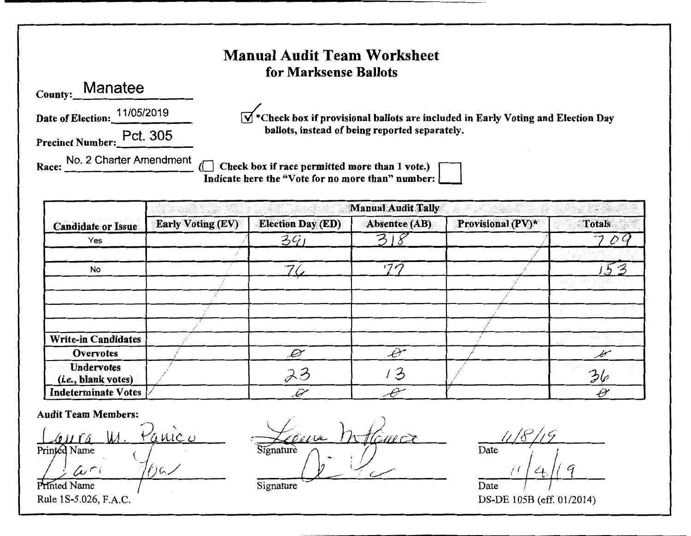### **Manual Audit Team Worksheet** for Marksense Ballots **Manatee** County: Date of Election: 11/05/2019  $\mathbf{V}^*$  Check box if provisional ballots are included in Early Voting and Election Day ballots, instead of being reported separately. Precinct Number: Pct. 305 Race: No. 2 Charter Amendment Check box if race permitted more than 1 vote.) Indicate here the "Vote for no more than" number: **Manual Audit Tally** n med en merskapet og et et statsformaler i skapet<br>Skapet og et et et et et statsformaler <u>edat ila 194 Sam</u>bi <u> Alban W</u>

| <b>Candidate or Issue</b>                         | <b>Early Voting (EV)</b> | <b>Election Day (ED)</b> | Absentee (AB)   | <b>Provisional</b> $(PV)^*$ | <b>Totals</b> |
|---------------------------------------------------|--------------------------|--------------------------|-----------------|-----------------------------|---------------|
| Yes                                               |                          | 391                      | 3               |                             | 70.           |
|                                                   |                          |                          |                 |                             |               |
| No                                                |                          | رس                       | 17 <sub>D</sub> |                             | ♪             |
|                                                   |                          |                          |                 |                             |               |
|                                                   |                          |                          |                 |                             |               |
|                                                   |                          |                          |                 |                             |               |
|                                                   |                          |                          |                 |                             |               |
| <b>Write-in Candidates</b>                        |                          |                          |                 |                             |               |
| Overvotes                                         |                          | $\mathscr{D}$            | P,              |                             |               |
| <b>Undervotes</b><br>( <i>i.e.</i> , blank votes) |                          | 23                       | 3               |                             | 36            |
| <b>Indeterminate Votes</b>                        |                          | $\mathscr{A}$            |                 |                             | Ĥ             |

#### **Audit Team Members:**

<u>Vanico</u>  $011<sub>0</sub>$ Printed Name  $40$ わい

Printed Name Rule 1S-5.026, F.A.C.

ima Tour ignature

Date

Date DS-DE 105B (eff. 01/2014)

Signature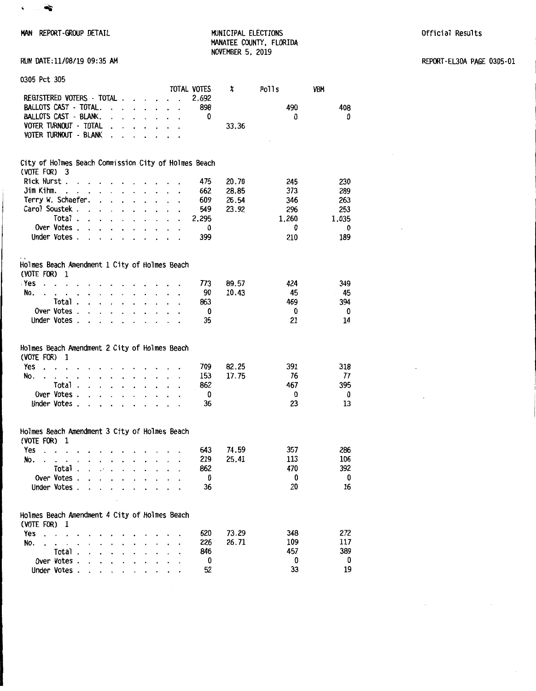

MAN REPORT-GROUP DETAIL **ELECTIONS** MUNICIPAL ELECTIONS **AND ALL ASSESS** Official Results MANATEE COUNTY, FLORIDA NOVEMBER 5, 2019

 $\mathcal{L}$ 

RUN DATE:11/08/19 09:35 AM REPORT-EL30A PAGE 0305-01

| 0305 Pct 305                                                         |                                         |                                                                      |                                              |                                 |       |       |       |       |
|----------------------------------------------------------------------|-----------------------------------------|----------------------------------------------------------------------|----------------------------------------------|---------------------------------|-------|-------|-------|-------|
|                                                                      |                                         |                                                                      |                                              | TOTAL VOTES                     |       | X     | Polls | VBM   |
| REGISTERED VOTERS - TOTAL.                                           |                                         | $\cdot$                                                              | $\ddot{\phantom{0}}$<br>$\bullet$            | $\ddot{\phantom{a}}$            | 2,692 |       |       |       |
| <b>BALLOTS CAST - TOTAL.</b>                                         | $\ddot{\phantom{a}}$                    | $\mathbf{r}$<br>$\ddot{\phantom{0}}$                                 | $\mathbf{r}$<br>$\overline{a}$               | $\ddot{\phantom{0}}$            | 898   |       | 490   | 408   |
| BALLOTS CAST - BLANK.                                                | $\cdot$                                 |                                                                      | $\mathbf{r}$<br>$\cdot$                      | $\ddot{\phantom{0}}$<br>$\cdot$ | 0     |       | 0     | 0     |
| VOTER TURNOUT - TOTAL                                                |                                         |                                                                      |                                              |                                 |       | 33.36 |       |       |
| <b>VOTER TURNOUT - BLANK</b>                                         |                                         |                                                                      |                                              |                                 |       |       |       |       |
|                                                                      |                                         |                                                                      |                                              |                                 |       |       |       |       |
|                                                                      |                                         |                                                                      |                                              |                                 |       |       |       |       |
| City of Holmes Beach Commission City of Holmes Beach<br>(VOTE FOR) 3 |                                         |                                                                      |                                              |                                 |       |       |       |       |
| Rick Hurst.                                                          |                                         |                                                                      | $\cdot$                                      |                                 | 475   | 20.70 | 245   | 230   |
| Jim Kihm.<br>$\sim$                                                  |                                         | $\overline{a}$<br>$\ddot{\phantom{0}}$                               | $\overline{a}$                               |                                 | 662   | 28.85 | 373   | 289   |
| Terry W. Schaefer.                                                   | $\ddot{\phantom{0}}$                    |                                                                      |                                              |                                 | 609   | 26.54 |       |       |
| Carol Soustek.                                                       | $\ddot{\phantom{0}}$                    | $\ddot{\phantom{0}}$<br>$\ddot{\phantom{0}}$<br>$\ddot{\phantom{0}}$ | $\ddot{\phantom{a}}$<br>$\ddot{\phantom{0}}$ | $\ddot{\phantom{0}}$            |       |       | 346   | 263   |
|                                                                      | $\cdot$<br>$\ddot{\phantom{0}}$         | $\ddot{\phantom{a}}$                                                 |                                              |                                 | 549   | 23.92 | 296   | 253   |
| Total.                                                               | $\cdot$ $\cdot$<br>$\ddot{\phantom{a}}$ | $\ddot{\phantom{0}}$<br>$\cdot$                                      | $\ddot{\phantom{a}}$                         |                                 | 2,295 |       | 1,260 | 1,035 |
| Over Votes .                                                         | $\ddot{\phantom{a}}$                    | $\ddot{\phantom{a}}$                                                 |                                              |                                 | 0     |       | 0     | 0     |
| Under Votes.                                                         | $\ddot{\phantom{a}}$<br>$\cdot$         | $\ddot{\phantom{0}}$<br>$\ddot{\phantom{0}}$<br>$\ddot{\phantom{a}}$ | $\cdot$<br>$\cdot$                           |                                 | 399   |       | 210   | 189   |
|                                                                      |                                         |                                                                      |                                              |                                 |       |       |       |       |
| Holmes Beach Amendment 1 City of Holmes Beach                        |                                         |                                                                      |                                              |                                 |       |       |       |       |
| (VOTE FOR)<br>1                                                      |                                         |                                                                      |                                              |                                 |       |       |       |       |
| . Yes<br>$\overline{a}$                                              |                                         |                                                                      |                                              |                                 | 773   | 89.57 | 424   | 349   |
| No.                                                                  | $\ddot{\phantom{0}}$                    | $\ddot{\phantom{0}}$                                                 |                                              |                                 | 90    | 10.43 | 45    | 45    |
| Total.                                                               | $\mathbf{r}$<br>$\overline{a}$          | $\ddot{\phantom{0}}$<br>$\ddot{\phantom{0}}$<br>$\mathbf{r}$         |                                              |                                 | 863   |       | 469   | 394   |
| Over Votes.                                                          | $\overline{a}$                          |                                                                      |                                              |                                 | 0     |       | 0     | 0     |
| Under Votes.                                                         | $\ddot{\phantom{a}}$                    | $\cdot$                                                              |                                              |                                 | 35    |       | 21    | 14    |
|                                                                      |                                         |                                                                      |                                              |                                 |       |       |       |       |
|                                                                      |                                         |                                                                      |                                              |                                 |       |       |       |       |
| Holmes Beach Amendment 2 City of Holmes Beach<br>(VOTE FOR)<br>1     |                                         |                                                                      |                                              |                                 |       |       |       |       |
| Yes                                                                  |                                         |                                                                      |                                              |                                 | 709   |       | 391   |       |
| $\ddotsc$                                                            |                                         |                                                                      |                                              |                                 |       | 82.25 |       | 318   |
| No.                                                                  |                                         | $\ddot{\phantom{a}}$<br>$\cdot$<br>$\cdot$                           | $\ddot{\phantom{a}}$                         |                                 | 153   | 17.75 | 76    | 77    |
| Total.                                                               | $\ddot{\phantom{0}}$<br>$\cdot$         | $\mathbf{r}$<br>$\ddot{\phantom{a}}$<br>$\cdot$                      | $\ddot{\phantom{a}}$<br>$\ddot{\phantom{a}}$ |                                 | 862   |       | 467   | 395   |
| Over Votes .                                                         | $\cdot$                                 | $\cdot$<br>$\ddot{\phantom{0}}$                                      | $\ddot{\phantom{0}}$                         |                                 | 0     |       | 0     | 0     |
| Under Votes.                                                         | $\ddot{\phantom{0}}$                    |                                                                      |                                              |                                 | 36    |       | 23    | 13    |
|                                                                      |                                         |                                                                      |                                              |                                 |       |       |       |       |
| Holmes Beach Amendment 3 City of Holmes Beach                        |                                         |                                                                      |                                              |                                 |       |       |       |       |
| (VOTE FOR)<br>1                                                      |                                         |                                                                      |                                              |                                 |       |       |       |       |
| Yes                                                                  |                                         |                                                                      |                                              |                                 | 643   | 74.59 | 357   | 286   |
| No.                                                                  |                                         |                                                                      |                                              |                                 | 219   | 25.41 | 113   | 106   |
| Total .                                                              |                                         |                                                                      |                                              |                                 | 862   |       | 470   | 392   |
| Over Votes.                                                          |                                         |                                                                      |                                              |                                 | 0     |       | 0     | 0     |
| Under Votes.                                                         |                                         |                                                                      |                                              |                                 | 36    |       | 20    | 16    |
|                                                                      |                                         |                                                                      |                                              |                                 |       |       |       |       |
|                                                                      |                                         |                                                                      |                                              |                                 |       |       |       |       |
| Holmes Beach Amendment 4 City of Holmes Beach                        |                                         |                                                                      |                                              |                                 |       |       |       |       |
| (VOTE FOR)<br>1                                                      |                                         |                                                                      |                                              |                                 |       |       |       |       |
| Yes<br>$\ddot{\phantom{a}}$                                          |                                         |                                                                      |                                              |                                 | 620   | 73.29 | 348   | 272   |
| No.                                                                  |                                         |                                                                      |                                              |                                 | 226   | 26.71 | 109   | 117   |
| Total.                                                               |                                         |                                                                      |                                              |                                 | 846   |       | 457   | 389   |
| Over Votes.                                                          |                                         |                                                                      |                                              |                                 | 0     |       | 0     | 0     |
| Under Votes.                                                         |                                         |                                                                      |                                              |                                 | 52    |       | 33    | 19    |